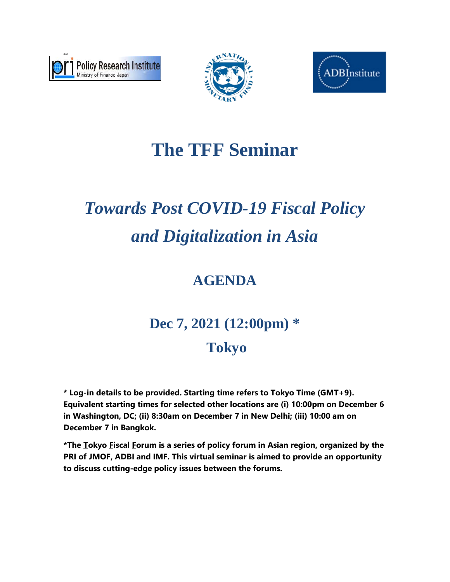





### **The TFF Seminar**

# *Towards Post COVID-19 Fiscal Policy and Digitalization in Asia*

### **AGENDA**

## **Dec 7, 2021 (12:00pm) \* Tokyo**

**\* Log-in details to be provided. Starting time refers to Tokyo Time (GMT+9). Equivalent starting times for selected other locations are (i) 10:00pm on December 6 in Washington, DC; (ii) 8:30am on December 7 in New Delhi; (iii) 10:00 am on December 7 in Bangkok.** 

**\*The Tokyo Fiscal Forum is a series of policy forum in Asian region, organized by the PRI of JMOF, ADBI and IMF. This virtual seminar is aimed to provide an opportunity to discuss cutting-edge policy issues between the forums.**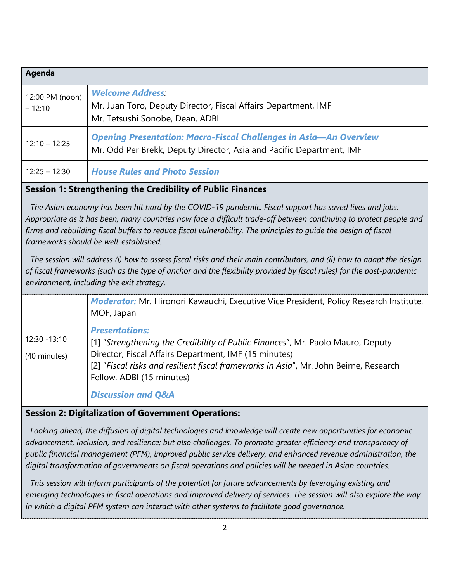| Agenda                      |                                                                                                                                                  |
|-----------------------------|--------------------------------------------------------------------------------------------------------------------------------------------------|
| 12:00 PM (noon)<br>$-12:10$ | <b>Welcome Address:</b><br>Mr. Juan Toro, Deputy Director, Fiscal Affairs Department, IMF<br>Mr. Tetsushi Sonobe, Dean, ADBI                     |
| $12:10 - 12:25$             | <b>Opening Presentation: Macro-Fiscal Challenges in Asia-An Overview</b><br>Mr. Odd Per Brekk, Deputy Director, Asia and Pacific Department, IMF |
| $12:25 - 12:30$             | <b>House Rules and Photo Session</b>                                                                                                             |

#### **Session 1: Strengthening the Credibility of Public Finances**

*The Asian economy has been hit hard by the COVID-19 pandemic. Fiscal support has saved lives and jobs.*  Appropriate as it has been, many countries now face a difficult trade-off between continuing to protect people and *firms and rebuilding fiscal buffers to reduce fiscal vulnerability. The principles to guide the design of fiscal frameworks should be well-established.* 

*The session will address (i) how to assess fiscal risks and their main contributors, and (ii) how to adapt the design of fiscal frameworks (such as the type of anchor and the flexibility provided by fiscal rules) for the post-pandemic environment, including the exit strategy.*

|                               | <b>Moderator:</b> Mr. Hironori Kawauchi, Executive Vice President, Policy Research Institute,<br>MOF, Japan                                                                                                                                                                                                              |
|-------------------------------|--------------------------------------------------------------------------------------------------------------------------------------------------------------------------------------------------------------------------------------------------------------------------------------------------------------------------|
| 12:30 - 13:10<br>(40 minutes) | <b>Presentations:</b><br>[1] "Strengthening the Credibility of Public Finances", Mr. Paolo Mauro, Deputy<br>Director, Fiscal Affairs Department, IMF (15 minutes)<br>[2] "Fiscal risks and resilient fiscal frameworks in Asia", Mr. John Beirne, Research<br>Fellow, ADBI (15 minutes)<br><b>Discussion and Q&amp;A</b> |

#### **Session 2: Digitalization of Government Operations:**

*Looking ahead, the diffusion of digital technologies and knowledge will create new opportunities for economic advancement, inclusion, and resilience; but also challenges. To promote greater efficiency and transparency of public financial management (PFM), improved public service delivery, and enhanced revenue administration, the digital transformation of governments on fiscal operations and policies will be needed in Asian countries.*

*This session will inform participants of the potential for future advancements by leveraging existing and emerging technologies in fiscal operations and improved delivery of services. The session will also explore the way in which a digital PFM system can interact with other systems to facilitate good governance.*